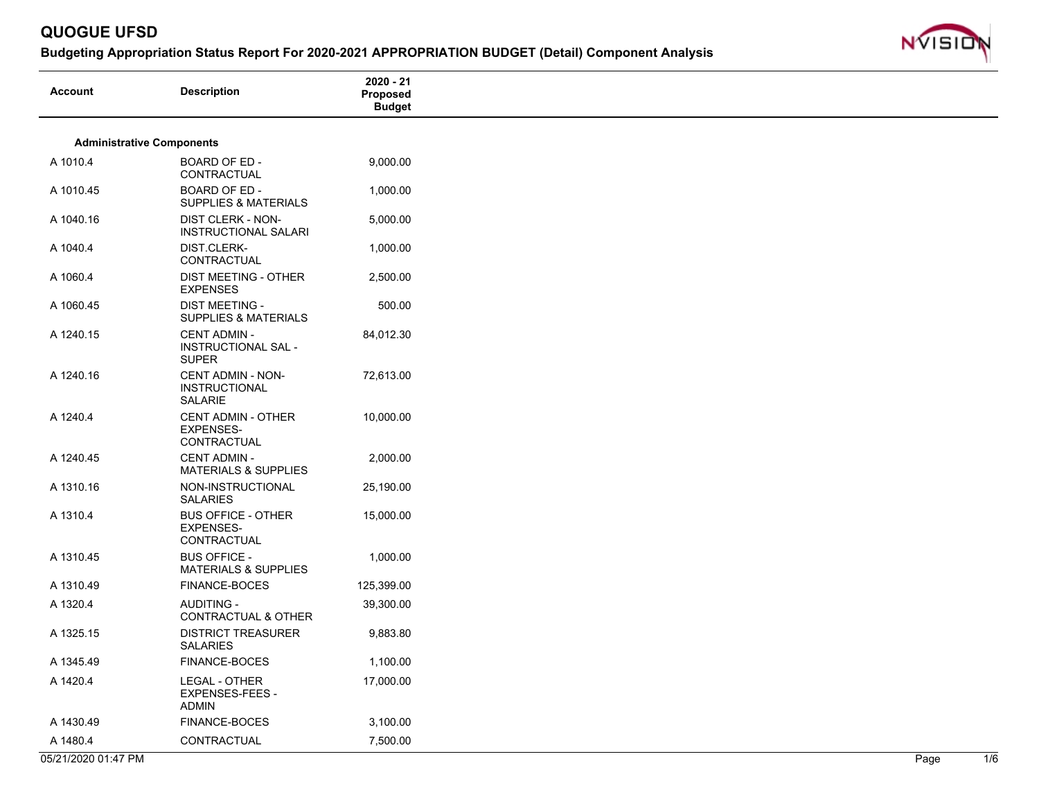

| <b>Administrative Components</b>                                                      |  |  |
|---------------------------------------------------------------------------------------|--|--|
|                                                                                       |  |  |
| A 1010.4<br>BOARD OF ED -<br>9,000.00<br>CONTRACTUAL                                  |  |  |
| BOARD OF ED -<br>A 1010.45<br>1,000.00<br><b>SUPPLIES &amp; MATERIALS</b>             |  |  |
| A 1040.16<br>DIST CLERK - NON-<br>5,000.00<br><b>INSTRUCTIONAL SALARI</b>             |  |  |
| DIST.CLERK-<br>1,000.00<br>A 1040.4<br>CONTRACTUAL                                    |  |  |
| A 1060.4<br>DIST MEETING - OTHER<br>2,500.00<br><b>EXPENSES</b>                       |  |  |
| <b>DIST MEETING -</b><br>500.00<br>A 1060.45<br><b>SUPPLIES &amp; MATERIALS</b>       |  |  |
| <b>CENT ADMIN -</b><br>A 1240.15<br>84,012.30<br>INSTRUCTIONAL SAL -<br><b>SUPER</b>  |  |  |
| A 1240.16<br><b>CENT ADMIN - NON-</b><br>72,613.00<br><b>INSTRUCTIONAL</b><br>SALARIE |  |  |
| <b>CENT ADMIN - OTHER</b><br>10,000.00<br>A 1240.4<br><b>EXPENSES-</b><br>CONTRACTUAL |  |  |
| A 1240.45<br><b>CENT ADMIN -</b><br>2,000.00<br><b>MATERIALS &amp; SUPPLIES</b>       |  |  |
| A 1310.16<br>NON-INSTRUCTIONAL<br>25,190.00<br><b>SALARIES</b>                        |  |  |
| <b>BUS OFFICE - OTHER</b><br>15,000.00<br>A 1310.4<br><b>EXPENSES-</b><br>CONTRACTUAL |  |  |
| <b>BUS OFFICE -</b><br>A 1310.45<br>1,000.00<br><b>MATERIALS &amp; SUPPLIES</b>       |  |  |
| A 1310.49<br>FINANCE-BOCES<br>125,399.00                                              |  |  |
| A 1320.4<br><b>AUDITING -</b><br>39,300.00<br>CONTRACTUAL & OTHER                     |  |  |
| <b>DISTRICT TREASURER</b><br>9,883.80<br>A 1325.15<br><b>SALARIES</b>                 |  |  |
| FINANCE-BOCES<br>A 1345.49<br>1,100.00                                                |  |  |
| A 1420.4<br>LEGAL - OTHER<br>17,000.00<br>EXPENSES-FEES -<br><b>ADMIN</b>             |  |  |
| FINANCE-BOCES<br>3,100.00<br>A 1430.49                                                |  |  |
| A 1480.4<br>CONTRACTUAL<br>7,500.00                                                   |  |  |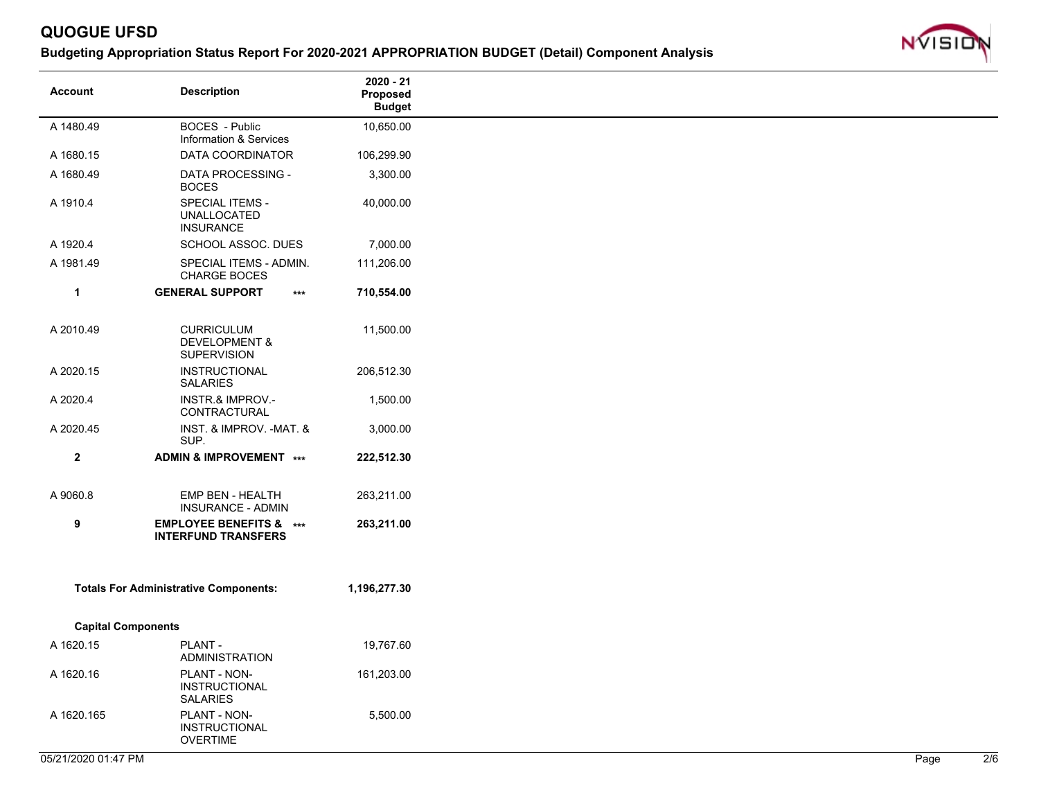

| <b>Account</b> | <b>Description</b>                                                  | 2020 - 21<br>Proposed<br><b>Budget</b> |
|----------------|---------------------------------------------------------------------|----------------------------------------|
| A 1480.49      | BOCES - Public<br>Information & Services                            | 10,650.00                              |
| A 1680.15      | DATA COORDINATOR                                                    | 106,299.90                             |
| A 1680.49      | DATA PROCESSING -<br><b>BOCES</b>                                   | 3,300.00                               |
| A 1910.4       | <b>SPECIAL ITEMS -</b><br><b>UNALLOCATED</b><br><b>INSURANCE</b>    | 40,000.00                              |
| A 1920.4       | SCHOOL ASSOC. DUES                                                  | 7,000.00                               |
| A 1981.49      | SPECIAL ITEMS - ADMIN.<br><b>CHARGE BOCES</b>                       | 111,206.00                             |
| $\mathbf{1}$   | <b>GENERAL SUPPORT</b><br>$***$                                     | 710,554.00                             |
| A 2010.49      | <b>CURRICULUM</b><br><b>DEVELOPMENT &amp;</b><br><b>SUPERVISION</b> | 11,500.00                              |
| A 2020.15      | INSTRUCTIONAL<br><b>SALARIES</b>                                    | 206,512.30                             |
| A 2020.4       | <b>INSTR.&amp; IMPROV.-</b><br>CONTRACTURAL                         | 1,500.00                               |
| A 2020.45      | INST. & IMPROV. - MAT. &<br>SUP.                                    | 3,000.00                               |
| $\mathbf{2}$   | ADMIN & IMPROVEMENT ***                                             | 222,512.30                             |
| A 9060.8       | EMP BEN - HEALTH<br><b>INSURANCE - ADMIN</b>                        | 263,211.00                             |
| 9              | <b>EMPLOYEE BENEFITS &amp; ***</b><br><b>INTERFUND TRANSFERS</b>    | 263,211.00                             |
|                | <b>Totals For Administrative Components:</b>                        | 1,196,277.30                           |
|                | <b>Capital Components</b>                                           |                                        |
| A 1620.15      | PLANT -<br>ADMINISTRATION                                           | 19,767.60                              |
| A 1620.16      | PLANT - NON-<br><b>INSTRUCTIONAL</b><br><b>SALARIES</b>             | 161,203.00                             |
| A 1620.165     | PLANT - NON-<br><b>INSTRUCTIONAL</b><br><b>OVERTIME</b>             | 5,500.00                               |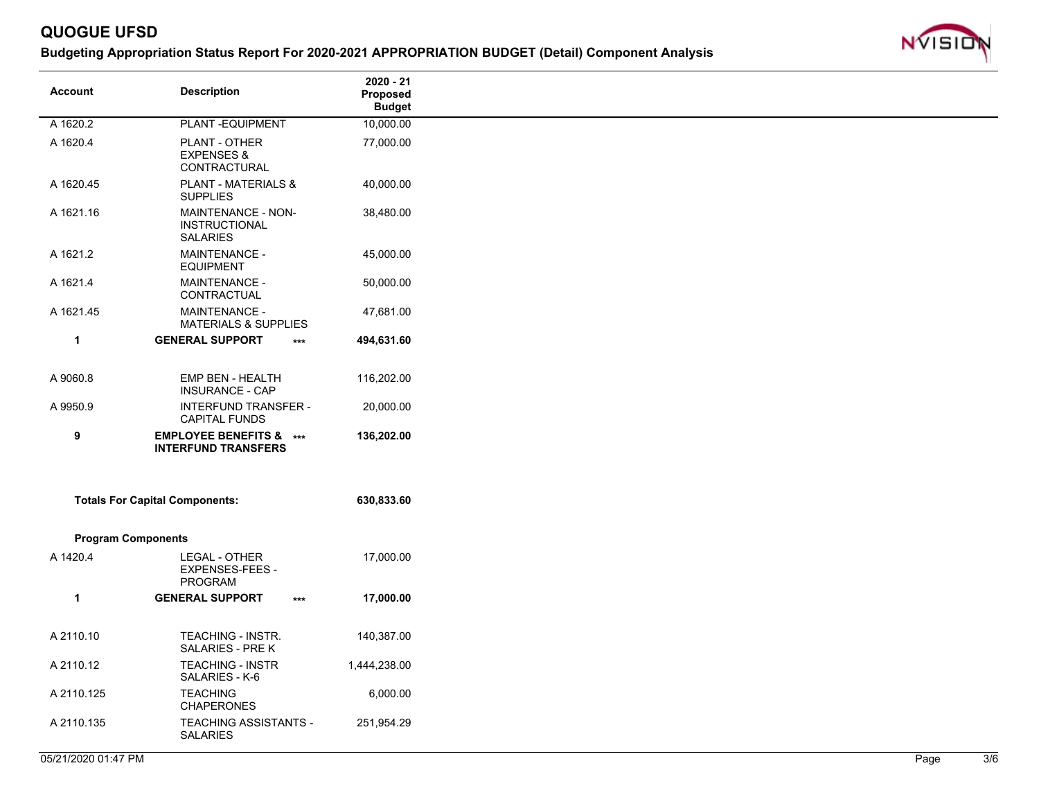

| <b>Account</b>            | <b>Description</b>                                               | 2020 - 21<br>Proposed<br><b>Budget</b> |
|---------------------------|------------------------------------------------------------------|----------------------------------------|
| A 1620.2                  | PLANT-EQUIPMENT                                                  | 10,000.00                              |
| A 1620.4                  | PLANT - OTHER<br><b>EXPENSES &amp;</b><br>CONTRACTURAL           | 77,000.00                              |
| A 1620.45                 | <b>PLANT - MATERIALS &amp;</b><br><b>SUPPLIES</b>                | 40,000.00                              |
| A 1621.16                 | MAINTENANCE - NON-<br><b>INSTRUCTIONAL</b><br><b>SALARIES</b>    | 38,480.00                              |
| A 1621.2                  | <b>MAINTENANCE -</b><br><b>EQUIPMENT</b>                         | 45,000.00                              |
| A 1621.4                  | <b>MAINTENANCE -</b><br>CONTRACTUAL                              | 50,000.00                              |
| A 1621.45                 | <b>MAINTENANCE -</b><br><b>MATERIALS &amp; SUPPLIES</b>          | 47,681.00                              |
| $\mathbf{1}$              | <b>GENERAL SUPPORT</b><br>$***$                                  | 494,631.60                             |
| A 9060.8                  | EMP BEN - HEALTH<br><b>INSURANCE - CAP</b>                       | 116,202.00                             |
| A 9950.9                  | <b>INTERFUND TRANSFER -</b><br><b>CAPITAL FUNDS</b>              | 20,000.00                              |
| 9                         | <b>EMPLOYEE BENEFITS &amp; ***</b><br><b>INTERFUND TRANSFERS</b> | 136,202.00                             |
|                           | <b>Totals For Capital Components:</b>                            | 630,833.60                             |
| <b>Program Components</b> |                                                                  |                                        |
| A 1420.4                  | LEGAL - OTHER<br><b>EXPENSES-FEES -</b><br><b>PROGRAM</b>        | 17,000.00                              |
| 1                         | <b>GENERAL SUPPORT</b><br>$***$                                  | 17,000.00                              |
| A 2110.10                 | TEACHING - INSTR.<br>SALARIES - PRE K                            | 140,387.00                             |
| A 2110.12                 | TEACHING - INSTR<br>SALARIES - K-6                               | 1,444,238.00                           |
| A 2110.125                | <b>TEACHING</b><br><b>CHAPERONES</b>                             | 6,000.00                               |
| A 2110.135                | TEACHING ASSISTANTS -<br><b>SALARIES</b>                         | 251,954.29                             |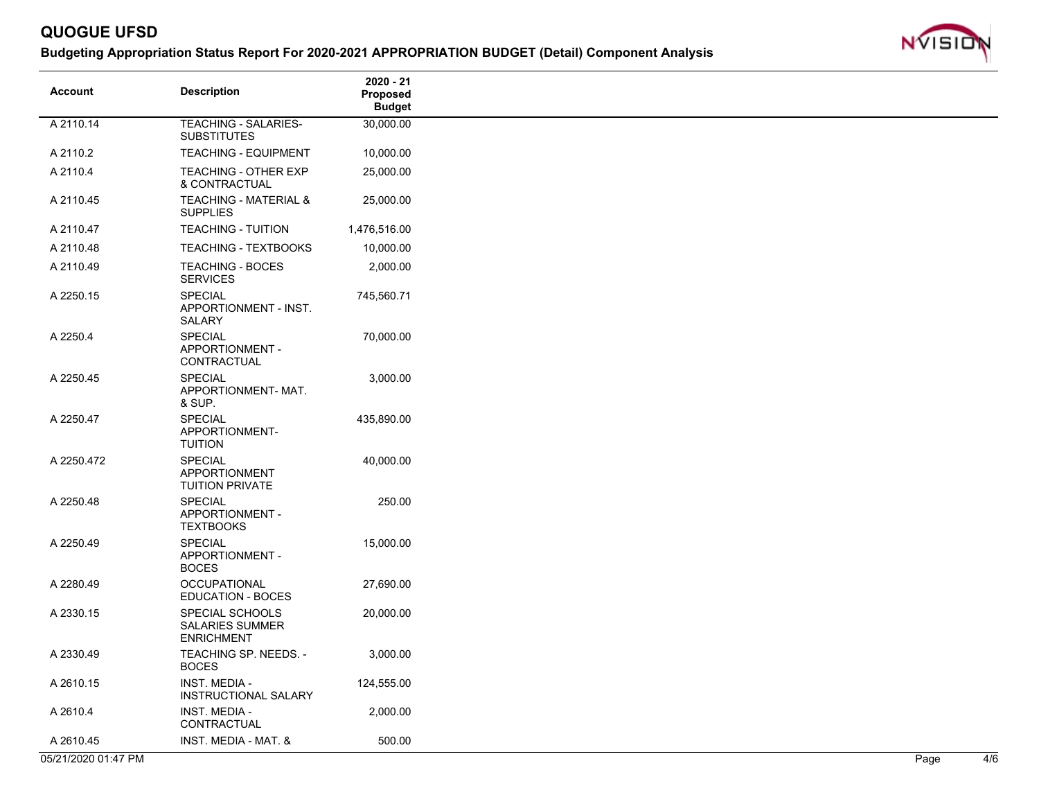

| <b>Account</b>      | <b>Description</b>                                             | 2020 - 21<br>Proposed<br><b>Budget</b> |
|---------------------|----------------------------------------------------------------|----------------------------------------|
| A 2110.14           | <b>TEACHING - SALARIES-</b><br><b>SUBSTITUTES</b>              | 30,000.00                              |
| A 2110.2            | <b>TEACHING - EQUIPMENT</b>                                    | 10,000.00                              |
| A 2110.4            | TEACHING - OTHER EXP<br>& CONTRACTUAL                          | 25,000.00                              |
| A 2110.45           | <b>TEACHING - MATERIAL &amp;</b><br><b>SUPPLIES</b>            | 25,000.00                              |
| A 2110.47           | <b>TEACHING - TUITION</b>                                      | 1,476,516.00                           |
| A 2110.48           | TEACHING - TEXTBOOKS                                           | 10,000.00                              |
| A 2110.49           | <b>TEACHING - BOCES</b><br><b>SERVICES</b>                     | 2,000.00                               |
| A 2250.15           | <b>SPECIAL</b><br>APPORTIONMENT - INST.<br>SALARY              | 745,560.71                             |
| A 2250.4            | <b>SPECIAL</b><br>APPORTIONMENT -<br>CONTRACTUAL               | 70,000.00                              |
| A 2250.45           | <b>SPECIAL</b><br>APPORTIONMENT-MAT.<br>& SUP.                 | 3,000.00                               |
| A 2250.47           | <b>SPECIAL</b><br>APPORTIONMENT-<br><b>TUITION</b>             | 435,890.00                             |
| A 2250.472          | <b>SPECIAL</b><br>APPORTIONMENT<br><b>TUITION PRIVATE</b>      | 40,000.00                              |
| A 2250.48           | <b>SPECIAL</b><br>APPORTIONMENT -<br><b>TEXTBOOKS</b>          | 250.00                                 |
| A 2250.49           | <b>SPECIAL</b><br>APPORTIONMENT -<br><b>BOCES</b>              | 15,000.00                              |
| A 2280.49           | <b>OCCUPATIONAL</b><br>EDUCATION - BOCES                       | 27,690.00                              |
| A 2330.15           | SPECIAL SCHOOLS<br><b>SALARIES SUMMER</b><br><b>ENRICHMENT</b> | 20,000.00                              |
| A 2330.49           | TEACHING SP. NEEDS. -<br><b>BOCES</b>                          | 3,000.00                               |
| A 2610.15           | <b>INST. MEDIA -</b><br><b>INSTRUCTIONAL SALARY</b>            | 124,555.00                             |
| A 2610.4            | INST. MEDIA -<br>CONTRACTUAL                                   | 2,000.00                               |
| A 2610.45           | INST. MEDIA - MAT. &                                           | 500.00                                 |
| 05/21/2020 01:47 PM |                                                                |                                        |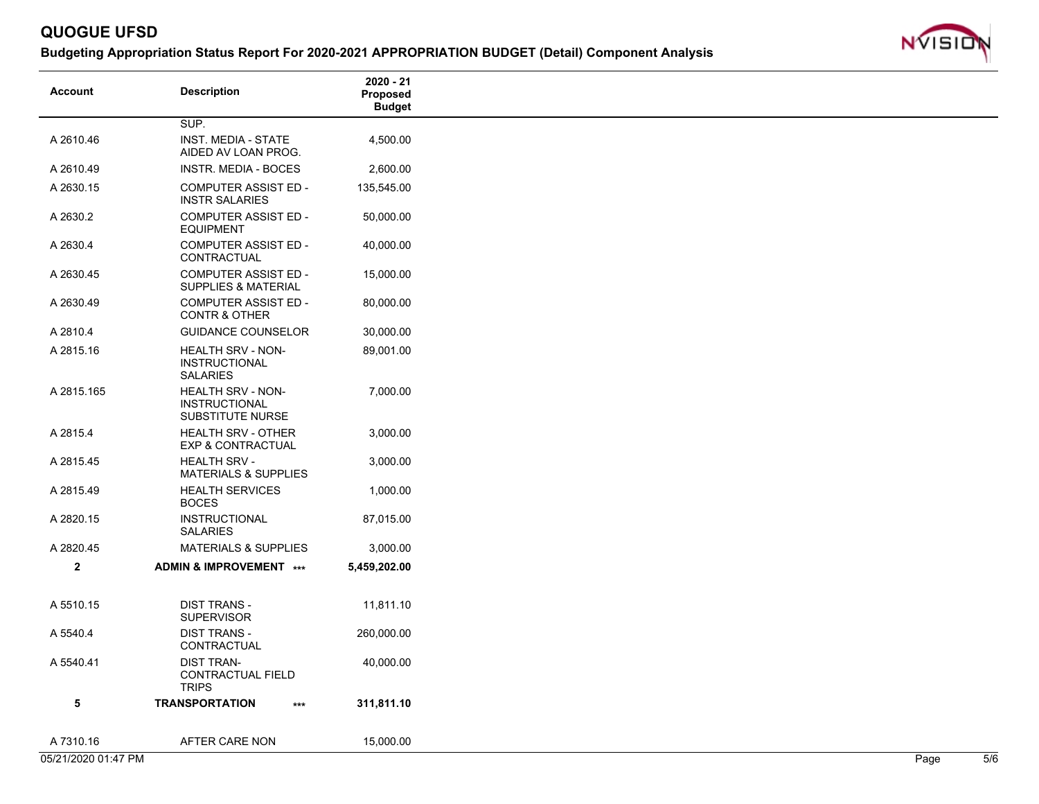

| <b>Account</b> | <b>Description</b>                                                   | $2020 - 21$<br>Proposed<br><b>Budget</b> |
|----------------|----------------------------------------------------------------------|------------------------------------------|
|                | SUP.                                                                 |                                          |
| A 2610.46      | INST. MEDIA - STATE<br>AIDED AV LOAN PROG.                           | 4,500.00                                 |
| A 2610.49      | INSTR. MEDIA - BOCES                                                 | 2,600.00                                 |
| A 2630.15      | <b>COMPUTER ASSIST ED -</b><br><b>INSTR SALARIES</b>                 | 135,545.00                               |
| A 2630.2       | <b>COMPUTER ASSIST ED -</b><br><b>EQUIPMENT</b>                      | 50,000.00                                |
| A 2630.4       | <b>COMPUTER ASSIST ED -</b><br>CONTRACTUAL                           | 40,000.00                                |
| A 2630.45      | <b>COMPUTER ASSIST ED -</b><br><b>SUPPLIES &amp; MATERIAL</b>        | 15,000.00                                |
| A 2630.49      | <b>COMPUTER ASSIST ED -</b><br><b>CONTR &amp; OTHER</b>              | 80,000.00                                |
| A 2810.4       | <b>GUIDANCE COUNSELOR</b>                                            | 30,000.00                                |
| A 2815.16      | HEALTH SRV - NON-<br><b>INSTRUCTIONAL</b><br><b>SALARIES</b>         | 89,001.00                                |
| A 2815.165     | <b>HEALTH SRV - NON-</b><br><b>INSTRUCTIONAL</b><br>SUBSTITUTE NURSE | 7,000.00                                 |
| A 2815.4       | <b>HEALTH SRV - OTHER</b><br><b>EXP &amp; CONTRACTUAL</b>            | 3,000.00                                 |
| A 2815.45      | <b>HEALTH SRV -</b><br><b>MATERIALS &amp; SUPPLIES</b>               | 3,000.00                                 |
| A 2815.49      | <b>HEALTH SERVICES</b><br><b>BOCES</b>                               | 1,000.00                                 |
| A 2820.15      | <b>INSTRUCTIONAL</b><br><b>SALARIES</b>                              | 87,015.00                                |
| A 2820.45      | <b>MATERIALS &amp; SUPPLIES</b>                                      | 3,000.00                                 |
| $\mathbf{2}$   | ADMIN & IMPROVEMENT ***                                              | 5,459,202.00                             |
| A 5510.15      | <b>DIST TRANS -</b><br><b>SUPERVISOR</b>                             | 11,811.10                                |
| A 5540.4       | <b>DIST TRANS -</b><br>CONTRACTUAL                                   | 260,000.00                               |
| A 5540.41      | <b>DIST TRAN-</b><br>CONTRACTUAL FIELD<br><b>TRIPS</b>               | 40,000.00                                |
| 5              | <b>TRANSPORTATION</b><br>$***$                                       | 311,811.10                               |
| A 7310.16      | AFTER CARE NON                                                       | 15,000.00                                |